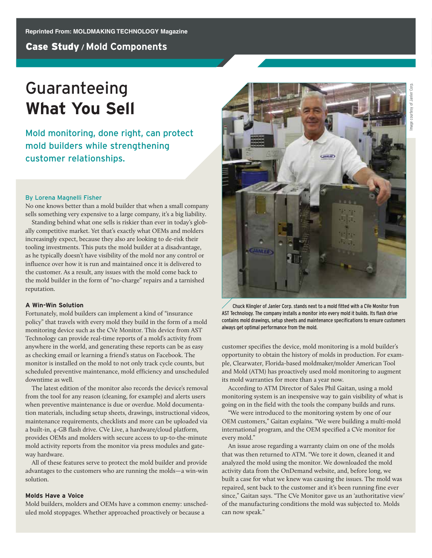# Guaranteeing **What You Sell**

Mold monitoring, done right, can protect mold builders while strengthening customer relationships.

## By Lorena Magnelli Fisher

No one knows better than a mold builder that when a small company sells something very expensive to a large company, it's a big liability.

Standing behind what one sells is riskier than ever in today's globally competitive market. Yet that's exactly what OEMs and molders increasingly expect, because they also are looking to de-risk their tooling investments. This puts the mold builder at a disadvantage, as he typically doesn't have visibility of the mold nor any control or influence over how it is run and maintained once it is delivered to the customer. As a result, any issues with the mold come back to the mold builder in the form of "no-charge" repairs and a tarnished reputation.

## **A Win-Win Solution**

Fortunately, mold builders can implement a kind of "insurance policy" that travels with every mold they build in the form of a mold monitoring device such as the CVe Monitor. This device from AST Technology can provide real-time reports of a mold's activity from anywhere in the world, and generating these reports can be as easy as checking email or learning a friend's status on Facebook. The monitor is installed on the mold to not only track cycle counts, but scheduled preventive maintenance, mold efficiency and unscheduled downtime as well.

The latest edition of the monitor also records the device's removal from the tool for any reason (cleaning, for example) and alerts users when preventive maintenance is due or overdue. Mold documentation materials, including setup sheets, drawings, instructional videos, maintenance requirements, checklists and more can be uploaded via a built-in, 4-GB flash drive. CVe Live, a hardware/cloud platform, provides OEMs and molders with secure access to up-to-the-minute mold activity reports from the monitor via press modules and gateway hardware.

All of these features serve to protect the mold builder and provide advantages to the customers who are running the molds—a win-win solution.

# **Molds Have a Voice**

Mold builders, molders and OEMs have a common enemy: unscheduled mold stoppages. Whether approached proactively or because a



Chuck Klingler of Janler Corp. stands next to a mold fitted with a CVe Monitor from AST Technology. The company installs a monitor into every mold it builds. Its flash drive contains mold drawings, setup sheets and maintenance specifications to ensure customers always get optimal performance from the mold.

customer specifies the device, mold monitoring is a mold builder's opportunity to obtain the history of molds in production. For example, Clearwater, Florida-based moldmaker/molder American Tool and Mold (ATM) has proactively used mold monitoring to augment its mold warranties for more than a year now.

According to ATM Director of Sales Phil Gaitan, using a mold monitoring system is an inexpensive way to gain visibility of what is going on in the field with the tools the company builds and runs.

"We were introduced to the monitoring system by one of our OEM customers," Gaitan explains. "We were building a multi-mold international program, and the OEM specified a CVe monitor for every mold."

An issue arose regarding a warranty claim on one of the molds that was then returned to ATM. "We tore it down, cleaned it and analyzed the mold using the monitor. We downloaded the mold activity data from the OnDemand website, and, before long, we built a case for what we knew was causing the issues. The mold was repaired, sent back to the customer and it's been running fine ever since," Gaitan says. "The CVe Monitor gave us an 'authoritative view' of the manufacturing conditions the mold was subjected to. Molds can now speak."